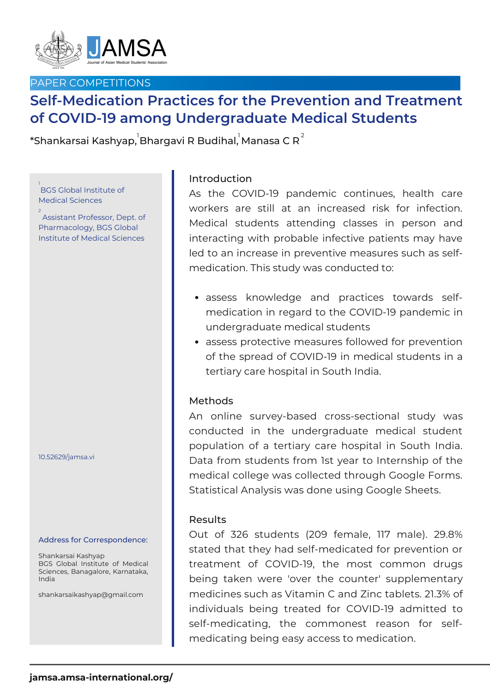

# PAPER COMPETITIONS

# **Self-Medication Practices for the Prevention and Treatment of COVID-19 among Undergraduate Medical Students**

\*Shankarsai Kashyap, $^\text{I}$ Bhargavi R Budihal, $^\text{I}$ Manasa C R $^\text{2}$ 

1<br>BGS Global Institute of Medical Sciences

2 Assistant Professor, Dept. of Pharmacology, BGS Global Institute of Medical Sciences

10.52629/jamsa.vi

#### Address for Correspondence:

Shankarsai Kashyap BGS Global Institute of Medical Sciences, Banagalore, Karnataka, India

shankarsaikashyap@gmail.com

## Introduction

As the COVID-19 pandemic continues, health care workers are still at an increased risk for infection. Medical students attending classes in person and interacting with probable infective patients may have led to an increase in preventive measures such as selfmedication. This study was conducted to:

- assess knowledge and practices towards selfmedication in regard to the COVID-19 pandemic in undergraduate medical students
- assess protective measures followed for prevention of the spread of COVID-19 in medical students in a tertiary care hospital in South India.

#### **Methods**

An online survey-based cross-sectional study was conducted in the undergraduate medical student population of a tertiary care hospital in South India. Data from students from 1st year to Internship of the medical college was collected through Google Forms. Statistical Analysis was done using Google Sheets.

#### Results

Out of 326 students (209 female, 117 male). 29.8% stated that they had self-medicated for prevention or treatment of COVID-19, the most common drugs being taken were 'over the counter' supplementary medicines such as Vitamin C and Zinc tablets. 21.3% of individuals being treated for COVID-19 admitted to self-medicating, the commonest reason for selfmedicating being easy access to medication.